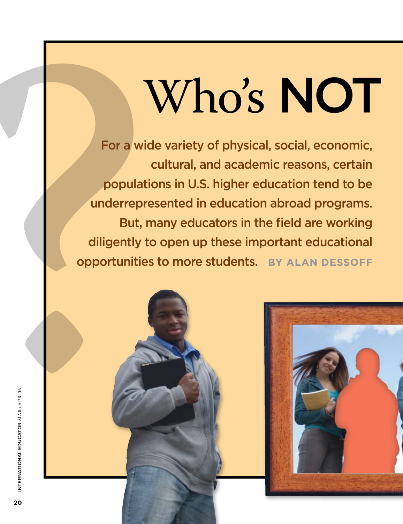For a wide variety of physical, social, economic, cultural, and academic reasons, certain populations in U.S. higher education tend to be underrepresented in education abroad programs. But, many educators in the field are working diligently to open up these important educational opportunities to more students. **By Alan Dessoff**

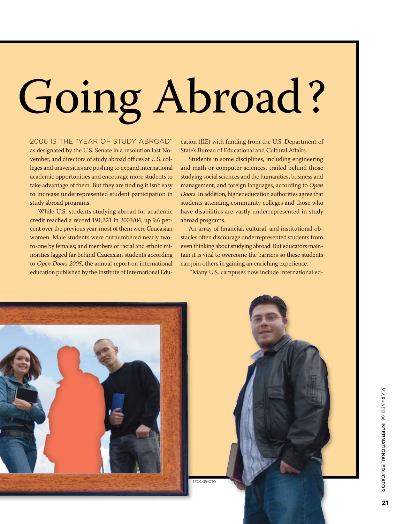# Going Abroad?

2006 is the "Year of Study Abroad" as designated by the U.S. Senate in a resolution last November, and directors of study abroad offices at U.S. colleges and universities are pushing to expand international academic opportunities and encourage more students to take advantage of them. But they are finding it isn't easy to increase underrepresented student participation in study abroad programs.

While U.S. students studying abroad for academic credit reached a record 191,321 in 2003/04, up 9.6 percent over the previous year, most of them were Caucasian women. Male students were outnumbered nearly twoto-one by females; and members of racial and ethnic minorities lagged far behind Caucasian students according to *Open Doors 2005*, the annual report on international education published by the Institute of International Education (IIE) with funding from the U.S. Department of State's Bureau of Educational and Cultural Affairs.

Students in some disciplines, including engineering and math or computer sciences, trailed behind those studying social sciences and the humanities, business and management, and foreign languages, according to *Open Doors*. In addition, higher education authorities agree that students attending community colleges and those who have disabilities are vastly underrepresented in study abroad programs.

An array of financial, cultural, and institutional obstacles often discourage underrepresented students from even thinking about studying abroad. But educators maintain it is vital to overcome the barriers so these students can join others in gaining an enriching experience.

"Many U.S. campuses now include international ed-

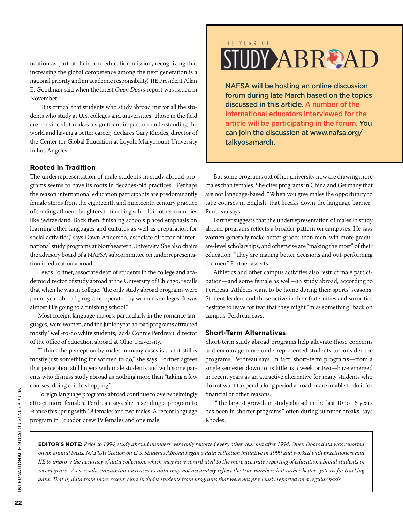ucation as part of their core education mission, recognizing that increasing the global competence among the next generation is a national priority and an academic responsibility," IIE President Allan E. Goodman said when the latest *Open Doors* report was issued in November.

 "It is critical that students who study abroad mirror all the students who study at U.S. colleges and universities. Those in the field are convinced it makes a significant impact on understanding the world and having a better career," declares Gary Rhodes, director of the Center for Global Education at Loyola Marymount University in Los Angeles.

#### **Rooted in Tradition**

The underrepresentation of male students in study abroad programs seems to have its roots in decades-old practices. "Perhaps the reason international education participants are predominantly female stems from the eighteenth and nineteenth century practice of sending affluent daughters to finishing schools in other countries like Switzerland. Back then, finishing schools placed emphasis on learning other languages and cultures as well as preparation for social activities," says Dawn Anderson, associate director of international study programs at Northeastern University. She also chairs the advisory board of a NAFSA subcommittee on underrepresentation in education abroad.

Lewis Fortner, associate dean of students in the college and academic director of study abroad at the University of Chicago, recalls that when he was in college, "the only study abroad programs were junior year abroad programs operated by women's colleges. It was almost like going to a finishing school."

Most foreign language majors, particularly in the romance languages, were women, and the junior year abroad programs attracted mostly "well-to-do white students," adds Connie Perdreau, director of the office of education abroad at Ohio University.

"I think the perception by males in many cases is that it still is mostly just something for women to do," she says. Fortner agrees that perception still lingers with male students and with some parents who dismiss study abroad as nothing more than "taking a few courses, doing a little shopping."

Foreign language programs abroad continue to overwhelmingly attract more females. Perdreau says she is sending a program to France this spring with 18 females and two males. A recent language program in Ecuador drew 19 females and one male.

#### THE YEAR OF

## **UDY ABROAD**

NAFSA will be hosting an online discussion forum during late March based on the topics discussed in this article. A number of the international educators interviewed for the article will be participating in the forum. You can join the discussion at www.nafsa.org/ talkyosamarch.

But some programs out of her university now are drawing more males than females. She cites programs in China and Germany that are not language-based. "When you give males the opportunity to take courses in English, that breaks down the language barrier," Perdreau says.

Fortner suggests that the underrepresentation of males in study abroad programs reflects a broader pattern on campuses. He says women generally make better grades than men, win more graduate-level scholarships, and otherwise are "making the most" of their education. "They are making better decisions and out-performing the men," Fortner asserts.

Athletics and other campus activities also restrict male participation—and some female as well—in study abroad, according to Perdreau. Athletes want to be home during their sports' seasons. Student leaders and those active in their fraternities and sororities hesitate to leave for fear that they might "miss something" back on campus, Perdreau says.

#### **Short-Term Alternatives**

Short-term study abroad programs help alleviate those concerns and encourage more underrepresented students to consider the programs, Perdreau says. In fact, short-term programs—from a single semester down to as little as a week or two—have emerged in recent years as an attractive alternative for many students who do not want to spend a long period abroad or are unable to do it for financial or other reasons.

 "The largest growth in study abroad in the last 10 to 15 years has been in shorter programs," often during summer breaks, says Rhodes.

**Editor's Note:** *Prior to 1994, study abroad numbers were only reported every other year but after 1994, Open Doors data was reported on an annual basis. NAFSA's Section on U.S. Students Abroad began a data collection initiative in 1999 and worked with practitioners and IIE to improve the accuracy of data collection, which may have contributed to the more accurate reporting of education abroad students in recent years. As a result, substantial increases in data may not accurately reflect the true numbers but rather better systems for tracking data. That is, data from more recent years includes students from programs that were not previously reported on a regular basis.*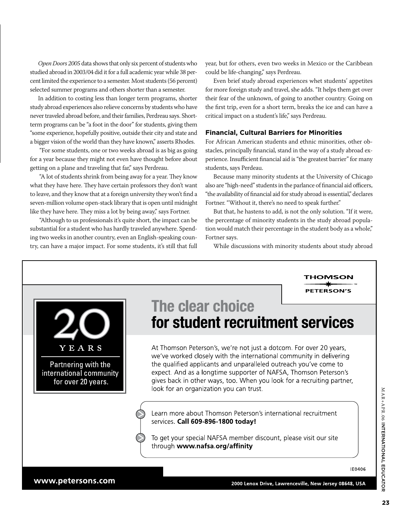*Open Doors 2005* data shows that only six percent of students who studied abroad in 2003/04 did it for a full academic year while 38 percent limited the experience to a semester. Most students (56 percent) selected summer programs and others shorter than a semester.

In addition to costing less than longer term programs, shorter study abroad experiences also relieve concerns by students who have never traveled abroad before, and their families, Perdreau says. Shortterm programs can be "a foot in the door" for students, giving them "some experience, hopefully positive, outside their city and state and a bigger vision of the world than they have known," asserts Rhodes.

 "For some students, one or two weeks abroad is as big as going for a year because they might not even have thought before about getting on a plane and traveling that far," says Perdreau.

 "A lot of students shrink from being away for a year. They know what they have here. They have certain professors they don't want to leave, and they know that at a foreign university they won't find a seven-million volume open-stack library that is open until midnight like they have here. They miss a lot by being away," says Fortner.

 "Although to us professionals it's quite short, the impact can be substantial for a student who has hardly traveled anywhere. Spending two weeks in another country, even an English-speaking country, can have a major impact. For some students, it's still that full

year, but for others, even two weeks in Mexico or the Caribbean could be life-changing," says Perdreau.

Even brief study abroad experiences whet students' appetites for more foreign study and travel, she adds. "It helps them get over their fear of the unknown, of going to another country. Going on the first trip, even for a short term, breaks the ice and can have a critical impact on a student's life," says Perdreau.

#### **Financial, Cultural Barriers for Minorities**

For African American students and ethnic minorities, other obstacles, principally financial, stand in the way of a study abroad experience. Insufficient financial aid is "the greatest barrier" for many students, says Perdeau.

Because many minority students at the University of Chicago also are "high-need" students in the parlance of financial aid officers, "the availability of financial aid for study abroad is essential," declares Fortner. "Without it, there's no need to speak further."

But that, he hastens to add, is not the only solution. "If it were, the percentage of minority students in the study abroad population would match their percentage in the student body as a whole," Fortner says.

While discussions with minority students about study abroad

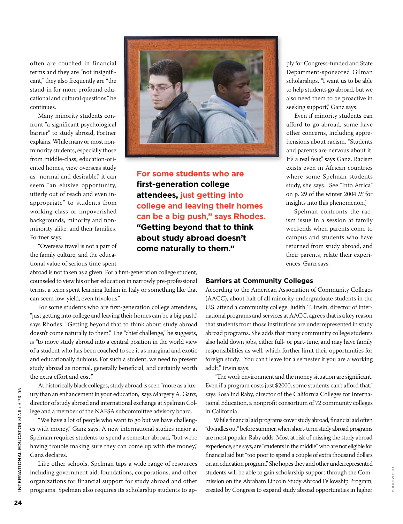often are couched in financial terms and they are "not insignificant," they also frequently are "the stand-in for more profound educational and cultural questions," he continues.

Many minority students confront "a significant psychological barrier" to study abroad, Fortner explains. While many or most nonminority students, especially those from middle-class, education-oriented homes, view overseas study as "normal and desirable," it can seem "an elusive opportunity, utterly out of reach and even inappropriate" to students from working-class or impoverished backgrounds, minority and nonminority alike, and their families, Fortner says.

"Overseas travel is not a part of the family culture, and the educational value of serious time spent

abroad is not taken as a given. For a first-generation college student, counseled to view his or her education in narrowly pre-professional terms, a term spent learning Italian in Italy or something like that can seem low-yield, even frivolous."

For some students who are first-generation college attendees, "just getting into college and leaving their homes can be a big push," says Rhodes. "Getting beyond that to think about study abroad doesn't come naturally to them." The "chief challenge," he suggests, is "to move study abroad into a central position in the world view of a student who has been coached to see it as marginal and exotic and educationally dubious. For such a student, we need to present study abroad as normal, generally beneficial, and certainly worth the extra effort and cost."

At historically black colleges, study abroad is seen "more as a luxury than an enhancement in your education," says Margery A. Ganz, director of study abroad and international exchange at Spelman College and a member of the NAFSA subcommittee advisory board.

"We have a lot of people who want to go but we have challenges with money," Ganz says. A new international studies major at Spelman requires students to spend a semester abroad, "but we're having trouble making sure they can come up with the money," Ganz declares.

Like other schools, Spelman taps a wide range of resources including government aid, foundations, corporations, and other organizations for financial support for study abroad and other programs. Spelman also requires its scholarship students to ap-



**For some students who are first-generation college attendees, just getting into college and leaving their homes can be a big push," says Rhodes. "Getting beyond that to think about study abroad doesn't come naturally to them."**

ply for Congress-funded and State Department-sponsored Gilman scholarships. "I want us to be able to help students go abroad, but we also need them to be proactive in seeking support," Ganz says.

Even if minority students can afford to go abroad, some have other concerns, including apprehensions about racism. "Students and parents are nervous about it. It's a real fear," says Ganz. Racism exists even in African countries where some Spelman students study, she says. [See "Into Africa" on p. 29 of the winter 2004 *IE* for insights into this phenomenon.]

Spelman confronts the racism issue in a session at family weekends when parents come to campus and students who have returned from study abroad, and their parents, relate their experiences, Ganz says.

#### **Barriers at Community Colleges**

According to the American Association of Community Colleges (AACC), about half of all minority undergraduate students in the U.S. attend a community college. Judith T. Irwin, director of international programs and services at AACC, agrees that is a key reason that students from those institutions are underrepresented in study abroad programs. She adds that many community college students also hold down jobs, either full- or part-time, and may have family responsibilities as well, which further limit their opportunities for foreign study. "You can't leave for a semester if you are a working adult," Irwin says.

 "The work environment and the money situation are significant. Even if a program costs just \$2000, some students can't afford that," says Rosalind Raby, director of the California Colleges for International Education, a nonprofit consortium of 72 community colleges in California.

While financial aid programs cover study abroad, financial aid often "dwindles out" before summer, when short-term study abroad programs are most popular, Raby adds. Most at risk of missing the study abroad experience, she says, are "students in the middle" who are not eligible for financial aid but "too poor to spend a couple of extra thousand dollars on an education program." She hopes they and other underrepresented students will be able to gain scholarship support through the Commission on the Abraham Lincoln Study Abroad Fellowship Program, created by Congress to expand study abroad opportunities in higher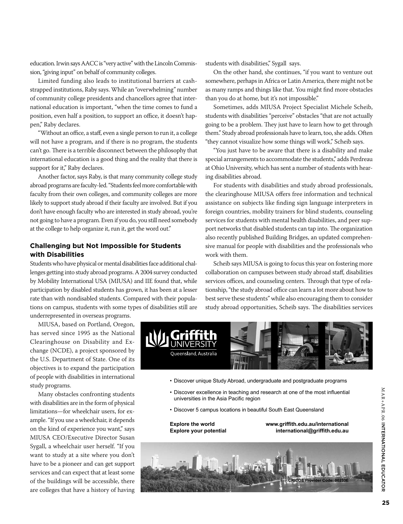education. Irwin says AACC is "very active" with the Lincoln Commission, "giving input" on behalf of community colleges.

Limited funding also leads to institutional barriers at cashstrapped institutions, Raby says. While an "overwhelming" number of community college presidents and chancellors agree that international education is important, "when the time comes to fund a position, even half a position, to support an office, it doesn't happen," Raby declares.

"Without an office, a staff, even a single person to run it, a college will not have a program, and if there is no program, the students can't go. There is a terrible disconnect between the philosophy that international education is a good thing and the reality that there is support for it," Raby declares.

Another factor, says Raby, is that many community college study abroad programs are faculty-led. "Students feel more comfortable with faculty from their own colleges, and community colleges are more likely to support study abroad if their faculty are involved. But if you don't have enough faculty who are interested in study abroad, you're not going to have a program. Even if you do, you still need somebody at the college to help organize it, run it, get the word out."

#### **Challenging but Not Impossible for Students with Disabilities**

Students who have physical or mental disabilities face additional challenges getting into study abroad programs. A 2004 survey conducted by Mobility International USA (MIUSA) and IIE found that, while participation by disabled students has grown, it has been at a lesser rate than with nondisabled students. Compared with their populations on campus, students with some types of disabilities still are underrepresented in overseas programs.

MIUSA, based on Portland, Oregon,

has served since 1995 as the National Clearinghouse on Disability and Exchange (NCDE), a project sponsored by the U.S. Department of State. One of its objectives is to expand the participation of people with disabilities in international study programs.

Many obstacles confronting students with disabilities are in the form of physical limitations—for wheelchair users, for example. "If you use a wheelchair, it depends on the kind of experience you want," says MIUSA CEO/Executive Director Susan Sygall, a wheelchair user herself. "If you want to study at a site where you don't have to be a pioneer and can get support services and can expect that at least some of the buildings will be accessible, there are colleges that have a history of having

students with disabilities," Sygall says.

On the other hand, she continues, "if you want to venture out somewhere, perhaps in Africa or Latin America, there might not be as many ramps and things like that. You might find more obstacles than you do at home, but it's not impossible."

Sometimes, adds MIUSA Project Specialist Michele Scheib, students with disabilities "perceive" obstacles "that are not actually going to be a problem. They just have to learn how to get through them." Study abroad professionals have to learn, too, she adds. Often "they cannot visualize how some things will work," Scheib says.

"You just have to be aware that there is a disability and make special arrangements to accommodate the students," adds Perdreau at Ohio University, which has sent a number of students with hearing disabilities abroad.

For students with disabilities and study abroad professionals, the clearinghouse MIUSA offers free information and technical assistance on subjects like finding sign language interpreters in foreign countries, mobility trainers for blind students, counseling services for students with mental health disabilities, and peer support networks that disabled students can tap into. The organization also recently published Building Bridges, an updated comprehensive manual for people with disabilities and the professionals who work with them.

Scheib says MIUSA is going to focus this year on fostering more collaboration on campuses between study abroad staff, disabilities services offices, and counseling centers. Through that type of relationship, "the study abroad office can learn a lot more about how to best serve these students" while also encouraging them to consider study abroad opportunities, Scheib says. The disabilities services

**www.griffith.edu.au/international**



- • Discover unique Study Abroad, undergraduate and postgraduate programs
- Discover excellence in teaching and research at one of the most influential universities in the Asia Pacific region
- • Discover 5 campus locations in beautiful South East Queensland

**Explore the world**

**CRICOS Provider Code: 00233E international@griffith.edu.au Explore your potential**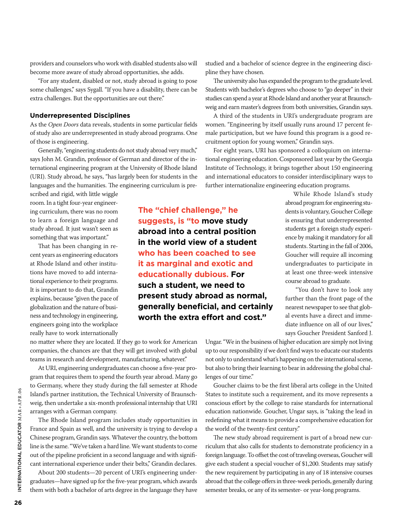providers and counselors who work with disabled students also will become more aware of study abroad opportunities, she adds.

"For any student, disabled or not, study abroad is going to pose some challenges," says Sygall. "If you have a disability, there can be extra challenges. But the opportunities are out there."

#### **Underrepresented Disciplines**

As the *Open Doors* data reveals, students in some particular fields of study also are underrepresented in study abroad programs. One of those is engineering.

Generally, "engineering students do not study abroad very much," says John M. Grandin, professor of German and director of the international engineering program at the University of Rhode Island (URI). Study abroad, he says, "has largely been for students in the languages and the humanities. The engineering curriculum is pre-

scribed and rigid, with little wiggle room. In a tight four-year engineering curriculum, there was no room to learn a foreign language and study abroad. It just wasn't seen as something that was important."

That has been changing in recent years as engineering educators at Rhode Island and other institutions have moved to add international experience to their programs. It is important to do that, Grandin explains, because "given the pace of globalization and the nature of business and technology in engineering, engineers going into the workplace really have to work internationally

**The "chief challenge," he suggests, is "to move study abroad into a central position in the world view of a student who has been coached to see it as marginal and exotic and educationally dubious. For such a student, we need to present study abroad as normal, generally beneficial, and certainly worth the extra effort and cost."**

studied and a bachelor of science degree in the engineering discipline they have chosen.

The university also has expanded the program to the graduate level. Students with bachelor's degrees who choose to "go deeper" in their studies can spend a year at Rhode Island and another year at Braunschweig and earn master's degrees from both universities, Grandin says.

A third of the students in URI's undergraduate program are women. "Engineering by itself usually runs around 17 percent female participation, but we have found this program is a good recruitment option for young women," Grandin says.

For eight years, URI has sponsored a colloquium on international engineering education. Cosponsored last year by the Georgia Institute of Technology, it brings together about 150 engineering and international educators to consider interdisciplinary ways to further internationalize engineering education programs.

> While Rhode Island's study abroad program for engineering students is voluntary, Goucher College is ensuring that underrepresented students get a foreign study experience by making it mandatory for all students. Starting in the fall of 2006, Goucher will require all incoming undergraduates to participate in at least one three-week intensive course abroad to graduate.

> "You don't have to look any further than the front page of the nearest newspaper to see that global events have a direct and immediate influence on all of our lives," says Goucher President Sanford J.

no matter where they are located. If they go to work for American companies, the chances are that they will get involved with global teams in research and development, manufacturing, whatever."

At URI, engineering undergraduates can choose a five-year program that requires them to spend the fourth year abroad. Many go to Germany, where they study during the fall semester at Rhode Island's partner institution, the Technical University of Braunschweig, then undertake a six-month professional internship that URI arranges with a German company.

The Rhode Island program includes study opportunities in France and Spain as well, and the university is trying to develop a Chinese program, Grandin says. Whatever the country, the bottom line is the same. "We've taken a hard line. We want students to come out of the pipeline proficient in a second language and with significant international experience under their belts," Grandin declares.

About 200 students—20 percent of URI's engineering undergraduates—have signed up for the five-year program, which awards them with both a bachelor of arts degree in the language they have

Ungar. "We in the business of higher education are simply not living up to our responsibility if we don't find ways to educate our students not only to understand what's happening on the international scene, but also to bring their learning to bear in addressing the global challenges of our time."

Goucher claims to be the first liberal arts college in the United States to institute such a requirement, and its move represents a conscious effort by the college to raise standards for international education nationwide. Goucher, Ungar says, is "taking the lead in redefining what it means to provide a comprehensive education for the world of the twenty-first century."

The new study abroad requirement is part of a broad new curriculum that also calls for students to demonstrate proficiency in a foreign language. To offset the cost of traveling overseas, Goucher will give each student a special voucher of \$1,200. Students may satisfy the new requirement by participating in any of 18 intensive courses abroad that the college offers in three-week periods, generally during semester breaks, or any of its semester- or year-long programs.